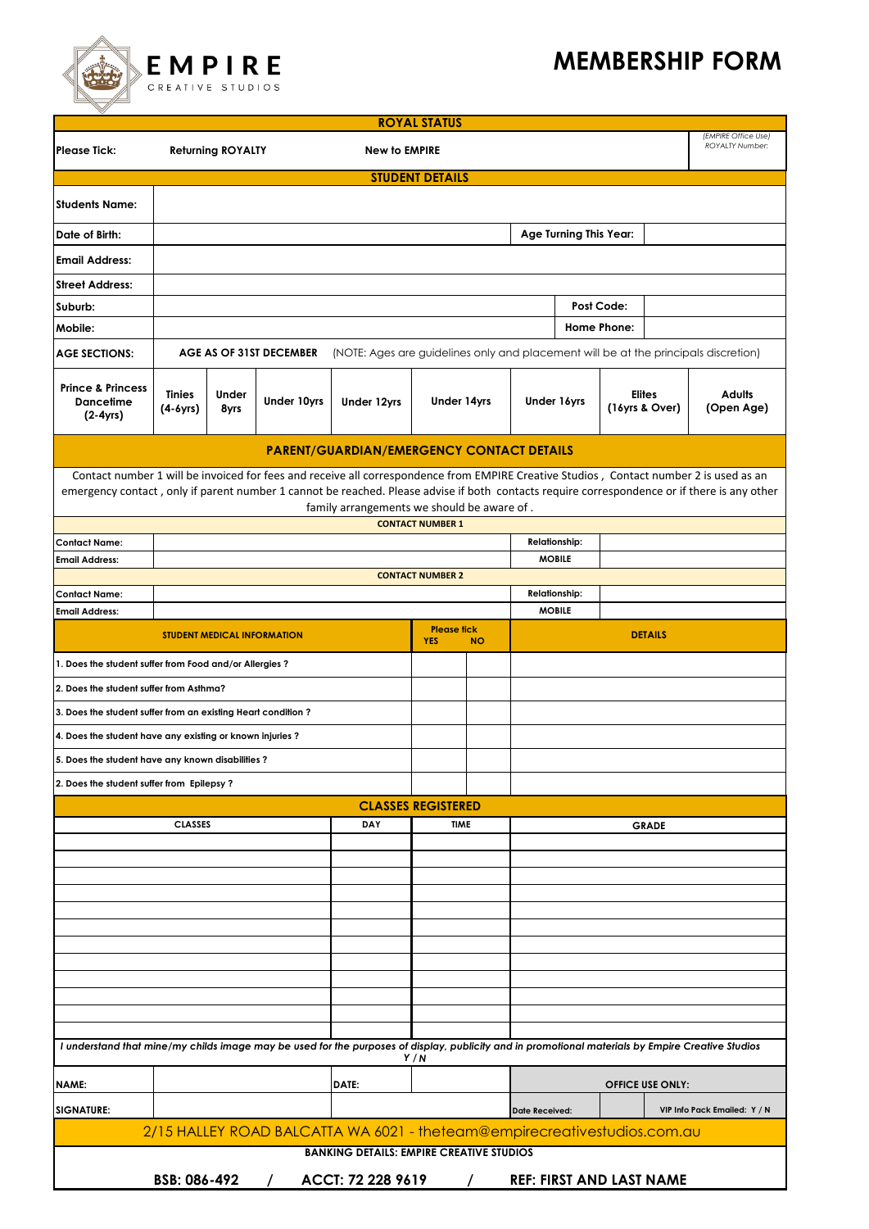## **MEMBERSHIP FORM**

|                                                                                                                                                                                                                                                                                                                                      |                                                  |                                    |                               |                                                                                     | <b>ROYAL STATUS</b>              |                                       |                |                         |                                               |                |                              |
|--------------------------------------------------------------------------------------------------------------------------------------------------------------------------------------------------------------------------------------------------------------------------------------------------------------------------------------|--------------------------------------------------|------------------------------------|-------------------------------|-------------------------------------------------------------------------------------|----------------------------------|---------------------------------------|----------------|-------------------------|-----------------------------------------------|----------------|------------------------------|
| <b>Please Tick:</b>                                                                                                                                                                                                                                                                                                                  | <b>New to EMPIRE</b><br><b>Returning ROYALTY</b> |                                    |                               |                                                                                     |                                  |                                       |                |                         | (EMPIRE Office Use)<br><b>ROYALTY Number:</b> |                |                              |
|                                                                                                                                                                                                                                                                                                                                      |                                                  |                                    |                               |                                                                                     | <b>STUDENT DETAILS</b>           |                                       |                |                         |                                               |                |                              |
| <b>Students Name:</b>                                                                                                                                                                                                                                                                                                                |                                                  |                                    |                               |                                                                                     |                                  |                                       |                |                         |                                               |                |                              |
| Date of Birth:                                                                                                                                                                                                                                                                                                                       |                                                  |                                    | <b>Age Turning This Year:</b> |                                                                                     |                                  |                                       |                |                         |                                               |                |                              |
| <b>Email Address:</b>                                                                                                                                                                                                                                                                                                                |                                                  |                                    |                               |                                                                                     |                                  |                                       |                |                         |                                               |                |                              |
| <b>Street Address:</b>                                                                                                                                                                                                                                                                                                               |                                                  |                                    |                               |                                                                                     |                                  |                                       |                |                         |                                               |                |                              |
| Suburb:                                                                                                                                                                                                                                                                                                                              |                                                  |                                    |                               |                                                                                     |                                  |                                       |                |                         | Post Code:                                    |                |                              |
| Mobile:                                                                                                                                                                                                                                                                                                                              |                                                  |                                    |                               |                                                                                     |                                  |                                       |                |                         | Home Phone:                                   |                |                              |
| <b>AGE SECTIONS:</b>                                                                                                                                                                                                                                                                                                                 |                                                  |                                    | AGE AS OF 31ST DECEMBER       | (NOTE: Ages are guidelines only and placement will be at the principals discretion) |                                  |                                       |                |                         |                                               |                |                              |
| <b>Prince &amp; Princess</b><br><b>Dancetime</b><br>$(2-4yrs)$                                                                                                                                                                                                                                                                       | <b>Tinies</b><br>(4-6yrs)                        | Under<br>8yrs                      | <b>Under 10yrs</b>            | <b>Under 12yrs</b>                                                                  | <b>Under 14yrs</b>               |                                       | Under 16yrs    |                         | Elites<br>(16yrs & Over)                      |                | <b>Adults</b><br>(Open Age)  |
|                                                                                                                                                                                                                                                                                                                                      |                                                  |                                    |                               | <b>PARENT/GUARDIAN/EMERGENCY CONTACT DETAILS</b>                                    |                                  |                                       |                |                         |                                               |                |                              |
| Contact number 1 will be invoiced for fees and receive all correspondence from EMPIRE Creative Studios, Contact number 2 is used as an<br>emergency contact, only if parent number 1 cannot be reached. Please advise if both contacts require correspondence or if there is any other<br>family arrangements we should be aware of. |                                                  |                                    |                               |                                                                                     |                                  |                                       |                |                         |                                               |                |                              |
|                                                                                                                                                                                                                                                                                                                                      |                                                  |                                    |                               |                                                                                     | <b>CONTACT NUMBER 1</b>          |                                       |                |                         |                                               |                |                              |
| <b>Contact Name:</b><br><b>Email Address:</b>                                                                                                                                                                                                                                                                                        |                                                  |                                    |                               |                                                                                     |                                  | <b>Relationship:</b><br><b>MOBILE</b> |                |                         |                                               |                |                              |
|                                                                                                                                                                                                                                                                                                                                      |                                                  |                                    |                               |                                                                                     | <b>CONTACT NUMBER 2</b>          |                                       |                |                         |                                               |                |                              |
| <b>Contact Name:</b>                                                                                                                                                                                                                                                                                                                 |                                                  |                                    |                               |                                                                                     |                                  |                                       |                | <b>Relationship:</b>    |                                               |                |                              |
| <b>Email Address:</b>                                                                                                                                                                                                                                                                                                                |                                                  |                                    |                               |                                                                                     |                                  |                                       |                | <b>MOBILE</b>           |                                               |                |                              |
|                                                                                                                                                                                                                                                                                                                                      |                                                  | <b>STUDENT MEDICAL INFORMATION</b> |                               |                                                                                     | <b>Please fick</b><br><b>YES</b> | <b>NO</b>                             |                |                         |                                               | <b>DETAILS</b> |                              |
| 1. Does the student suffer from Food and/or Allergies?                                                                                                                                                                                                                                                                               |                                                  |                                    |                               |                                                                                     |                                  |                                       |                |                         |                                               |                |                              |
| 2. Does the student suffer from Asthma?                                                                                                                                                                                                                                                                                              |                                                  |                                    |                               |                                                                                     |                                  |                                       |                |                         |                                               |                |                              |
| 3. Does the student suffer from an existing Heart condition?                                                                                                                                                                                                                                                                         |                                                  |                                    |                               |                                                                                     |                                  |                                       |                |                         |                                               |                |                              |
| 4. Does the student have any existing or known injuries?                                                                                                                                                                                                                                                                             |                                                  |                                    |                               |                                                                                     |                                  |                                       |                |                         |                                               |                |                              |
| 5. Does the student have any known disabilities?                                                                                                                                                                                                                                                                                     |                                                  |                                    |                               |                                                                                     |                                  |                                       |                |                         |                                               |                |                              |
| 2. Does the student suffer from Epilepsy?                                                                                                                                                                                                                                                                                            |                                                  |                                    |                               |                                                                                     |                                  |                                       |                |                         |                                               |                |                              |
|                                                                                                                                                                                                                                                                                                                                      |                                                  |                                    |                               |                                                                                     | <b>CLASSES REGISTERED</b>        |                                       |                |                         |                                               |                |                              |
| <b>CLASSES</b>                                                                                                                                                                                                                                                                                                                       |                                                  |                                    |                               | <b>DAY</b>                                                                          |                                  | <b>TIME</b>                           |                |                         | <b>GRADE</b>                                  |                |                              |
|                                                                                                                                                                                                                                                                                                                                      |                                                  |                                    |                               |                                                                                     |                                  |                                       |                |                         |                                               |                |                              |
|                                                                                                                                                                                                                                                                                                                                      |                                                  |                                    |                               |                                                                                     |                                  |                                       |                |                         |                                               |                |                              |
|                                                                                                                                                                                                                                                                                                                                      |                                                  |                                    |                               |                                                                                     |                                  |                                       |                |                         |                                               |                |                              |
|                                                                                                                                                                                                                                                                                                                                      |                                                  |                                    |                               |                                                                                     |                                  |                                       |                |                         |                                               |                |                              |
|                                                                                                                                                                                                                                                                                                                                      |                                                  |                                    |                               |                                                                                     |                                  |                                       |                |                         |                                               |                |                              |
|                                                                                                                                                                                                                                                                                                                                      |                                                  |                                    |                               |                                                                                     |                                  |                                       |                |                         |                                               |                |                              |
|                                                                                                                                                                                                                                                                                                                                      |                                                  |                                    |                               |                                                                                     |                                  |                                       |                |                         |                                               |                |                              |
|                                                                                                                                                                                                                                                                                                                                      |                                                  |                                    |                               |                                                                                     |                                  |                                       |                |                         |                                               |                |                              |
|                                                                                                                                                                                                                                                                                                                                      |                                                  |                                    |                               |                                                                                     |                                  |                                       |                |                         |                                               |                |                              |
| I understand that mine/my childs image may be used for the purposes of display, publicity and in promotional materials by Empire Creative Studios                                                                                                                                                                                    |                                                  |                                    |                               |                                                                                     | Y/N                              |                                       |                |                         |                                               |                |                              |
| NAME:                                                                                                                                                                                                                                                                                                                                | DATE:                                            |                                    |                               |                                                                                     |                                  |                                       |                | <b>OFFICE USE ONLY:</b> |                                               |                |                              |
| <b>SIGNATURE:</b>                                                                                                                                                                                                                                                                                                                    |                                                  |                                    |                               |                                                                                     |                                  |                                       | Date Received: |                         |                                               |                | VIP Info Pack Emailed: Y / N |
|                                                                                                                                                                                                                                                                                                                                      |                                                  |                                    |                               | 2/15 HALLEY ROAD BALCATTA WA 6021 - theteam@empirecreativestudios.com.au            |                                  |                                       |                |                         |                                               |                |                              |
|                                                                                                                                                                                                                                                                                                                                      | BSB: 086-492                                     |                                    | $\sqrt{2}$                    | <b>BANKING DETAILS: EMPIRE CREATIVE STUDIOS</b><br>ACCT: 72 228 9619                |                                  | $\sqrt{2}$                            |                |                         | <b>REF: FIRST AND LAST NAME</b>               |                |                              |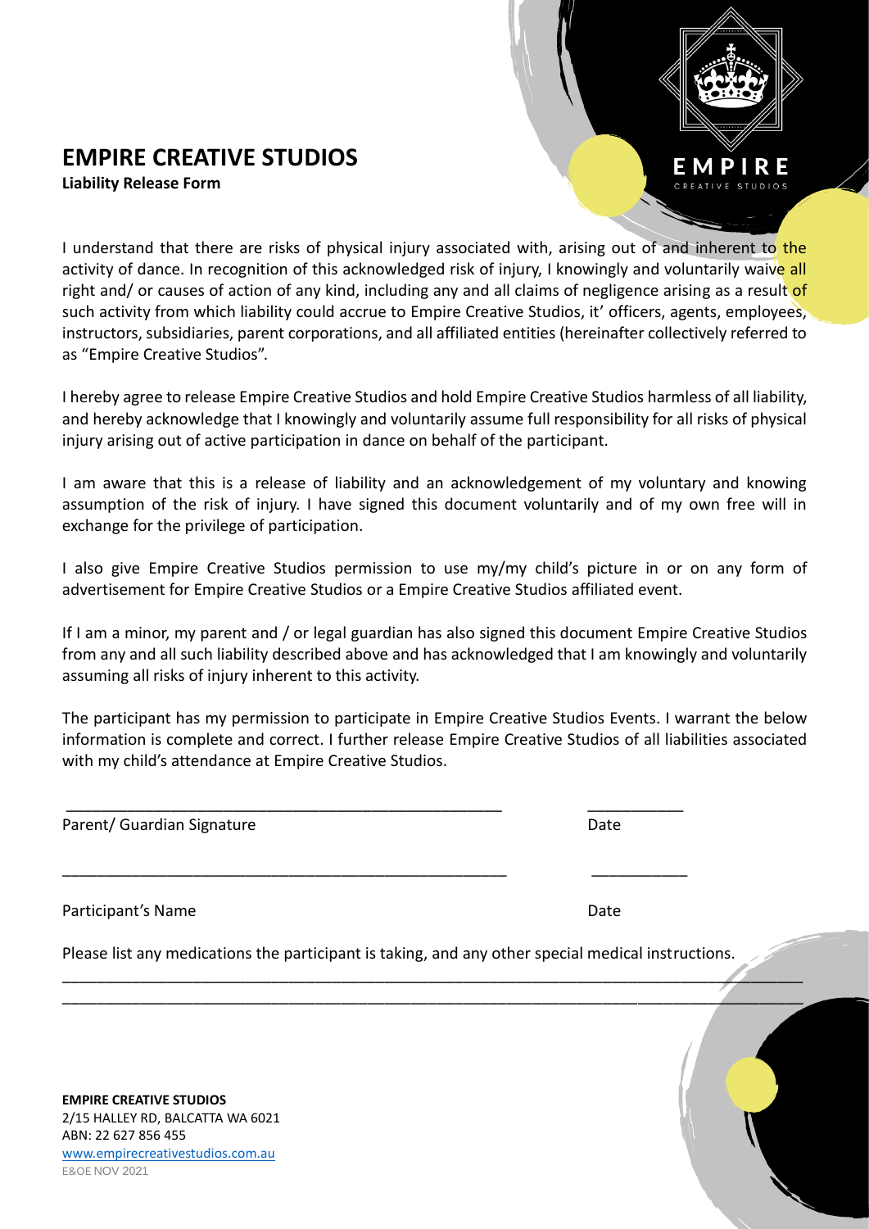## **EMPIRE CREATIVE STUDIOS**

**Liability Release Form**

as "Empire Creative Studios".



I hereby agree to release Empire Creative Studios and hold Empire Creative Studios harmless of all liability, and hereby acknowledge that I knowingly and voluntarily assume full responsibility for all risks of physical injury arising out of active participation in dance on behalf of the participant.

instructors, subsidiaries, parent corporations, and all affiliated entities (hereinafter collectively referred to

I am aware that this is a release of liability and an acknowledgement of my voluntary and knowing assumption of the risk of injury. I have signed this document voluntarily and of my own free will in exchange for the privilege of participation.

I also give Empire Creative Studios permission to use my/my child's picture in or on any form of advertisement for Empire Creative Studios or a Empire Creative Studios affiliated event.

If I am a minor, my parent and / or legal guardian has also signed this document Empire Creative Studios from any and all such liability described above and has acknowledged that I am knowingly and voluntarily assuming all risks of injury inherent to this activity.

The participant has my permission to participate in Empire Creative Studios Events. I warrant the below information is complete and correct. I further release Empire Creative Studios of all liabilities associated with my child's attendance at Empire Creative Studios.

Parent/ Guardian Signature **Date of Australian Structure** Date

Participant's Name Date and Date Date of the Date of the Date Date of the Date of the Date of the Date of the Date of the Date of the Date of the Date of the Date of the Date of the Date of the Date of the Date of the Date

Please list any medications the participant is taking, and any other special medical instructions.

 $\mathcal{L}_\mathcal{L}$  , and the set of the set of the set of the set of the set of the set of the set of the set of the set of the set of the set of the set of the set of the set of the set of the set of the set of the set of th \_\_\_\_\_\_\_\_\_\_\_\_\_\_\_\_\_\_\_\_\_\_\_\_\_\_\_\_\_\_\_\_\_\_\_\_\_\_\_\_\_\_\_\_\_\_\_\_\_\_\_\_\_\_\_\_\_\_\_\_\_\_\_\_\_\_\_\_\_\_\_\_\_\_\_\_\_\_\_\_\_\_\_\_\_

\_\_\_\_\_\_\_\_\_\_\_\_\_\_\_\_\_\_\_\_\_\_\_\_\_\_\_\_\_\_\_\_\_\_\_\_\_\_\_\_\_\_\_\_\_\_\_\_\_\_ \_\_\_\_\_\_\_\_\_\_\_

\_\_\_\_\_\_\_\_\_\_\_\_\_\_\_\_\_\_\_\_\_\_\_\_\_\_\_\_\_\_\_\_\_\_\_\_\_\_\_\_\_\_\_\_\_\_\_\_\_\_\_ \_\_\_\_\_\_\_\_\_\_\_

**EMPIRE CREATIVE STUDIOS** 2/15 HALLEY RD, BALCATTA WA 6021 ABN: 22 627 856 455 [www.empirecreativestudios.com.au](http://www.empirecreativestudios.com.au/) E&OE NOV 2021

MPIRE